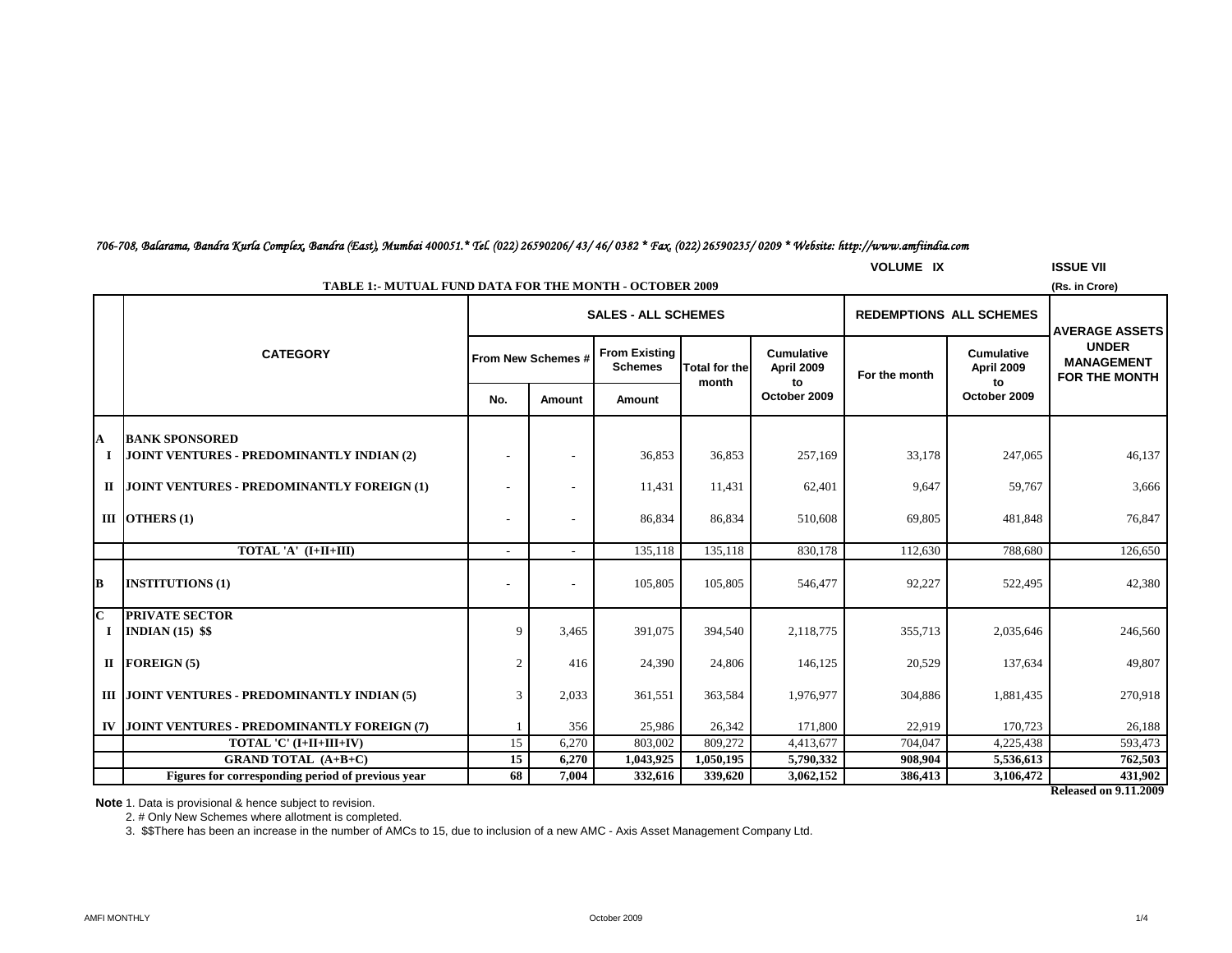#### *706-708, Balarama, Bandra Kurla Complex, Bandra (East), Mumbai 400051.\* Tel. (022) 26590206/ 43/ 46/ 0382 \* Fax. (022) 26590235/ 0209 \* Website: http://www.amfiindia.com* **VOLUME IX ISSUE VII**

|               | VOLUME IX<br>ווע שטפטו<br><b>TABLE 1:- MUTUAL FUND DATA FOR THE MONTH - OCTOBER 2009</b><br>(Rs. in Crore) |                |                            |                                        |                               |                                 |               |                                 |                                                                                    |  |
|---------------|------------------------------------------------------------------------------------------------------------|----------------|----------------------------|----------------------------------------|-------------------------------|---------------------------------|---------------|---------------------------------|------------------------------------------------------------------------------------|--|
|               |                                                                                                            |                | <b>SALES - ALL SCHEMES</b> |                                        |                               |                                 |               | <b>REDEMPTIONS ALL SCHEMES</b>  |                                                                                    |  |
|               | <b>CATEGORY</b>                                                                                            |                | From New Schemes #         | <b>From Existing</b><br><b>Schemes</b> | <b>Total for the</b><br>month | <b>Cumulative</b><br>April 2009 | For the month | <b>Cumulative</b><br>April 2009 | <b>AVERAGE ASSETS</b><br><b>UNDER</b><br><b>MANAGEMENT</b><br><b>FOR THE MONTH</b> |  |
|               |                                                                                                            | No.            | Amount                     | Amount                                 |                               | to<br>October 2009              |               | to<br>October 2009              |                                                                                    |  |
| $\mathbf A$   | <b>BANK SPONSORED</b>                                                                                      |                |                            |                                        |                               |                                 |               |                                 |                                                                                    |  |
|               | JOINT VENTURES - PREDOMINANTLY INDIAN (2)                                                                  |                |                            | 36,853                                 | 36,853                        | 257,169                         | 33,178        | 247,065                         | 46,137                                                                             |  |
| $\Pi$         | JOINT VENTURES - PREDOMINANTLY FOREIGN (1)                                                                 |                |                            | 11,431                                 | 11,431                        | 62,401                          | 9,647         | 59,767                          | 3,666                                                                              |  |
|               | III OTHERS $(1)$                                                                                           |                |                            | 86,834                                 | 86,834                        | 510,608                         | 69,805        | 481,848                         | 76,847                                                                             |  |
|               | TOTAL 'A' (I+II+III)                                                                                       |                |                            | 135,118                                | 135,118                       | 830,178                         | 112,630       | 788,680                         | 126,650                                                                            |  |
| B             | <b>INSTITUTIONS (1)</b>                                                                                    |                | $\overline{\phantom{a}}$   | 105,805                                | 105,805                       | 546,477                         | 92,227        | 522,495                         | 42,380                                                                             |  |
| C<br>$\bf{I}$ | <b>PRIVATE SECTOR</b><br><b>INDIAN</b> (15) \$\$                                                           | 9              | 3,465                      | 391,075                                | 394,540                       | 2,118,775                       | 355,713       | 2,035,646                       | 246,560                                                                            |  |
|               | $II$ FOREIGN (5)                                                                                           | $\overline{2}$ | 416                        | 24,390                                 | 24,806                        | 146,125                         | 20,529        | 137,634                         | 49,807                                                                             |  |
|               | III JOINT VENTURES - PREDOMINANTLY INDIAN (5)                                                              | 3              | 2,033                      | 361,551                                | 363,584                       | 1,976,977                       | 304,886       | 1,881,435                       | 270,918                                                                            |  |
|               | IV JOINT VENTURES - PREDOMINANTLY FOREIGN (7)                                                              |                | 356                        | 25,986                                 | 26,342                        | 171,800                         | 22,919        | 170,723                         | 26,188                                                                             |  |
|               | TOTAL 'C' (I+II+III+IV)                                                                                    | 15             | 6,270                      | 803,002                                | 809,272                       | 4,413,677                       | 704,047       | 4,225,438                       | 593,473                                                                            |  |
|               | <b>GRAND TOTAL (A+B+C)</b>                                                                                 | 15             | 6,270                      | 1,043,925                              | 1,050,195                     | 5,790,332                       | 908,904       | 5,536,613                       | 762,503                                                                            |  |
|               | Figures for corresponding period of previous year                                                          | 68             | 7,004                      | 332,616                                | 339,620                       | 3,062,152                       | 386,413       | 3,106,472                       | 431,902                                                                            |  |

**Released on 9.11.2009**

**Note** 1. Data is provisional & hence subject to revision.

2. # Only New Schemes where allotment is completed.

3. \$\$There has been an increase in the number of AMCs to 15, due to inclusion of a new AMC - Axis Asset Management Company Ltd.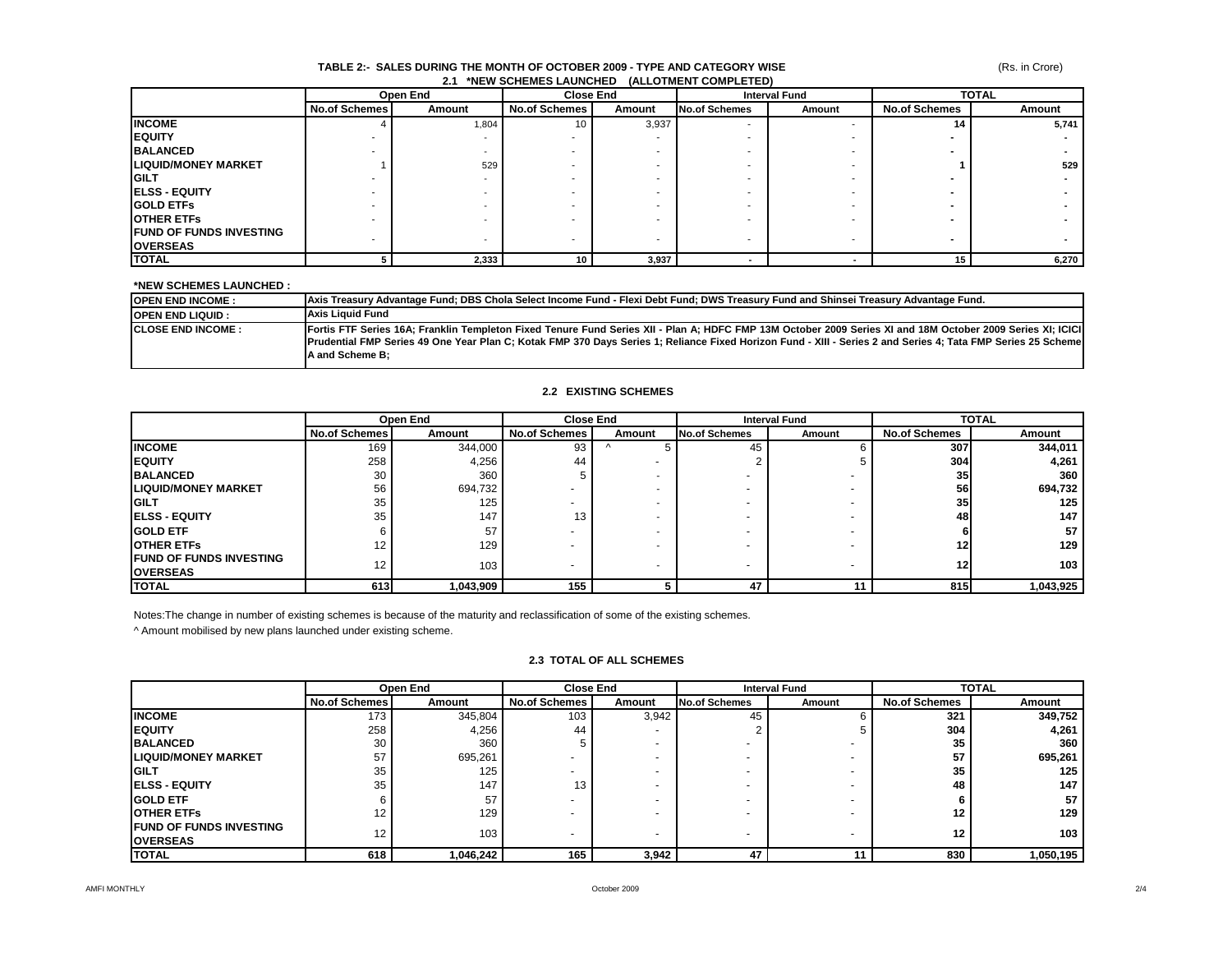#### (Rs. in Crore)

#### **TABLE 2:- SALES DURING THE MONTH OF OCTOBER 2009 - TYPE AND CATEGORY WISE 2.1 \*NEW SCHEMES LAUNCHED (ALLOTMENT COMPLETED)**

|                                 |                      | Open End | <b>Close End</b>     |        |                                | <b>Interval Fund</b> |                      | <b>TOTAL</b> |  |
|---------------------------------|----------------------|----------|----------------------|--------|--------------------------------|----------------------|----------------------|--------------|--|
|                                 | <b>No.of Schemes</b> | Amount   | <b>No.of Schemes</b> | Amount | <b>No.of Schemes</b><br>Amount |                      | <b>No.of Schemes</b> | Amount       |  |
| <b>INCOME</b>                   |                      | 1,804    | 10                   | 3,937  |                                |                      |                      | 5,741        |  |
| <b>IEQUITY</b>                  |                      |          |                      |        |                                |                      |                      |              |  |
| <b>BALANCED</b>                 |                      |          |                      |        |                                |                      |                      |              |  |
| <b>ILIQUID/MONEY MARKET</b>     |                      | 529      |                      |        |                                |                      |                      | 529          |  |
| <b>IGILT</b>                    |                      |          |                      |        |                                |                      |                      |              |  |
| <b>IELSS - EQUITY</b>           |                      |          |                      |        |                                |                      |                      |              |  |
| <b>IGOLD ETFS</b>               |                      |          |                      |        |                                |                      |                      |              |  |
| <b>IOTHER ETFS</b>              |                      |          |                      |        |                                |                      |                      |              |  |
| <b>IFUND OF FUNDS INVESTING</b> |                      |          |                      |        |                                |                      |                      |              |  |
| <b>OVERSEAS</b>                 |                      |          |                      |        |                                |                      |                      |              |  |
| <b>TOTAL</b>                    |                      | 2,333    | 10                   | 3,937  |                                |                      | 15.                  | 6,270        |  |

#### **\*NEW SCHEMES LAUNCHED :**

| <b>OPEN END INCOME:</b>   | <b>Axis Treasury Advantage Fund: DBS Chola Select Income Fund - Flexi Debt Fund: DWS Treasury Fund and Shinsei Treasury Advantage Fund.</b>                                                                                                                                                                                                    |
|---------------------------|------------------------------------------------------------------------------------------------------------------------------------------------------------------------------------------------------------------------------------------------------------------------------------------------------------------------------------------------|
| <b>OPEN END LIQUID:</b>   | Axis Liquid Fund                                                                                                                                                                                                                                                                                                                               |
| <b>ICLOSE END INCOME:</b> | Fortis FTF Series 16A; Franklin Templeton Fixed Tenure Fund Series XII - Plan A; HDFC FMP 13M October 2009 Series XI and 18M October 2009 Series XI; ICICI<br>[Prudential FMP Series 49 One Year Plan C; Kotak FMP 370 Days Series 1; Reliance Fixed Horizon Fund - XIII - Series 2 and Series 4; Tata FMP Series 25 Scheme<br>A and Scheme B: |

#### **2.2 EXISTING SCHEMES**

|                                                    | Open End             |           | <b>Close End</b>     |                          | <b>Interval Fund</b>     |        | <b>TOTAL</b>         |           |
|----------------------------------------------------|----------------------|-----------|----------------------|--------------------------|--------------------------|--------|----------------------|-----------|
|                                                    | <b>No.of Schemes</b> | Amount    | <b>No.of Schemes</b> | Amount                   | <b>No.of Schemes</b>     | Amount | <b>No.of Schemes</b> | Amount    |
| <b>INCOME</b>                                      | 169                  | 344,000   | 93                   |                          | 45                       |        | 307                  | 344,011   |
| <b>IEQUITY</b>                                     | 258                  | 4,256     | 44                   |                          |                          |        | 304                  | 4,261     |
| <b>BALANCED</b>                                    | 30                   | 360       |                      |                          |                          |        | 35 <sub>1</sub>      | 360       |
| <b>LIQUID/MONEY MARKET</b>                         | 56                   | 694,732   |                      |                          |                          |        | 56                   | 694,732   |
| <b>IGILT</b>                                       | 35                   | 125       |                      |                          |                          |        | 35 <sub>1</sub>      | 125       |
| <b>IELSS - EQUITY</b>                              | 35                   | 147       | 13                   |                          |                          |        | 48                   | 147       |
| <b>IGOLD ETF</b>                                   |                      | 57        |                      |                          |                          |        |                      | 57        |
| <b>IOTHER ETFS</b>                                 | 12                   | 129       |                      | $\overline{\phantom{a}}$ |                          |        | 12 <sub>l</sub>      | 129       |
| <b>IFUND OF FUNDS INVESTING</b><br><b>OVERSEAS</b> | 12 <sup>2</sup>      | 103       | <b>-</b>             |                          | $\overline{\phantom{0}}$ |        | 12 <sub>l</sub>      | 103       |
| <b>TOTAL</b>                                       | 613                  | 1,043,909 | 155                  |                          | 47                       | 11     | 815                  | 1,043,925 |

Notes:The change in number of existing schemes is because of the maturity and reclassification of some of the existing schemes.

^ Amount mobilised by new plans launched under existing scheme.

#### **2.3 TOTAL OF ALL SCHEMES**

|                                 |               | Open End  | <b>Close End</b>     |        | <b>Interval Fund</b> |        | <b>TOTAL</b>         |           |
|---------------------------------|---------------|-----------|----------------------|--------|----------------------|--------|----------------------|-----------|
|                                 | No.of Schemes | Amount    | <b>No.of Schemes</b> | Amount | <b>No.of Schemes</b> | Amount | <b>No.of Schemes</b> | Amount    |
| <b>INCOME</b>                   | 173           | 345,804   | 103                  | 3,942  | 45                   |        | 321                  | 349,752   |
| <b>IEQUITY</b>                  | 258           | 4,256     | 44                   |        |                      |        | 304                  | 4,261     |
| <b>BALANCED</b>                 | 30            | 360       |                      |        |                      |        | 35                   | 360       |
| <b>LIQUID/MONEY MARKET</b>      | 57            | 695,261   |                      |        |                      |        | 57                   | 695,261   |
| <b>IGILT</b>                    | 35            | 125       |                      |        |                      |        | 35                   | 125       |
| <b>IELSS - EQUITY</b>           | 35            | 147       | 13                   |        |                      |        | 48                   | 147       |
| <b>IGOLD ETF</b>                |               | 57        |                      |        |                      |        |                      | 57        |
| <b>IOTHER ETFS</b>              | 12            | 129       |                      |        |                      |        | 12                   | 129       |
| <b>IFUND OF FUNDS INVESTING</b> | 12            | 103       |                      |        |                      |        | 12                   | 103       |
| <b>OVERSEAS</b>                 |               |           |                      |        | -                    |        |                      |           |
| <b>ITOTAL</b>                   | 618           | 1,046,242 | 165                  | 3,942  | 47                   | 11     | 830                  | 1,050,195 |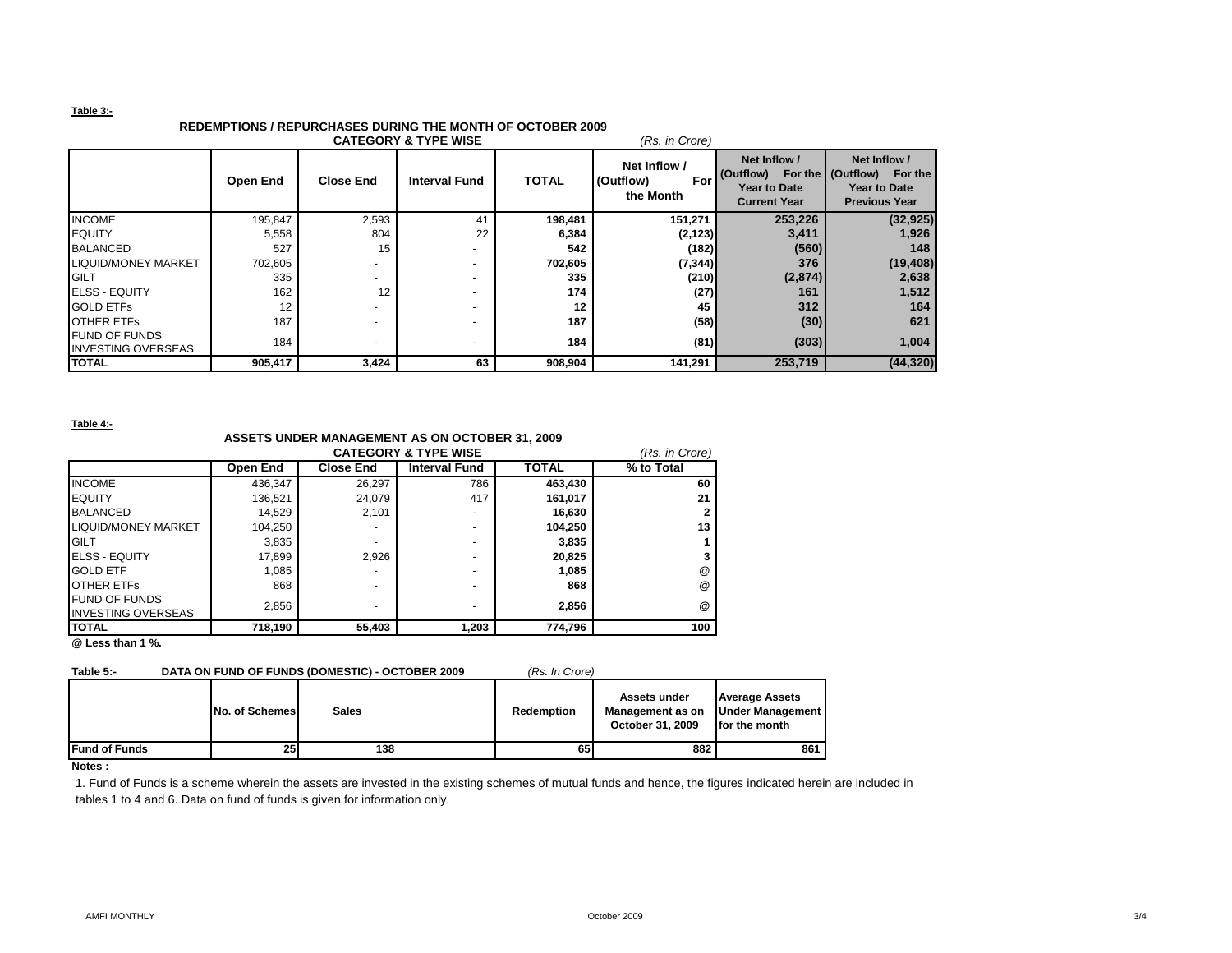#### **Table 3:-**

## **REDEMPTIONS / REPURCHASES DURING THE MONTH OF OCTOBER 2009**

| <b>CATEGORY &amp; TYPE WISE</b><br>(Rs. in Crore) |                 |                          |                          |              |                                               |                                                                         |                                                                                             |  |  |
|---------------------------------------------------|-----------------|--------------------------|--------------------------|--------------|-----------------------------------------------|-------------------------------------------------------------------------|---------------------------------------------------------------------------------------------|--|--|
|                                                   | <b>Open End</b> | <b>Close End</b>         | <b>Interval Fund</b>     | <b>TOTAL</b> | Net Inflow /<br>(Outflow)<br>For<br>the Month | Net Inflow /<br>(Outflow)<br><b>Year to Date</b><br><b>Current Year</b> | Net Inflow /<br>For the (Outflow)<br>For the<br><b>Year to Date</b><br><b>Previous Year</b> |  |  |
| <b>INCOME</b>                                     | 195,847         | 2,593                    | 41                       | 198,481      | 151,271                                       | 253,226                                                                 | (32, 925)                                                                                   |  |  |
| <b>IEQUITY</b>                                    | 5,558           | 804                      | 22                       | 6,384        | (2, 123)                                      | 3,411                                                                   | 1,926                                                                                       |  |  |
| <b>BALANCED</b>                                   | 527             | 15                       |                          | 542          | (182)                                         | (560)                                                                   | 148                                                                                         |  |  |
| <b>LIQUID/MONEY MARKET</b>                        | 702,605         |                          |                          | 702,605      | (7, 344)                                      | 376                                                                     | (19, 408)                                                                                   |  |  |
| <b>GILT</b>                                       | 335             | $\overline{\phantom{0}}$ | $\overline{\phantom{0}}$ | 335          | (210)                                         | (2,874)                                                                 | 2,638                                                                                       |  |  |
| <b>IELSS - EQUITY</b>                             | 162             | 12                       |                          | 174          | (27)                                          | 161                                                                     | 1,512                                                                                       |  |  |
| <b>GOLD ETFS</b>                                  | 12              |                          |                          | 12           | 45                                            | 312                                                                     | 164                                                                                         |  |  |
| <b>OTHER ETFS</b>                                 | 187             | $\overline{\phantom{a}}$ |                          | 187          | (58)                                          | (30)                                                                    | 621                                                                                         |  |  |
| <b>FUND OF FUNDS</b><br><b>INVESTING OVERSEAS</b> | 184             | $\overline{\phantom{a}}$ |                          | 184          | (81)                                          | (303)                                                                   | 1,004                                                                                       |  |  |
| <b>TOTAL</b>                                      | 905,417         | 3,424                    | 63                       | 908,904      | 141,291                                       | 253,719                                                                 | (44, 320)                                                                                   |  |  |

**Table 4:-**

## **ASSETS UNDER MANAGEMENT AS ON OCTOBER 31, 2009**

| <b>CATEGORY &amp; TYPE WISE</b><br>(Rs. in Crore) |          |                  |                      |              |            |  |  |
|---------------------------------------------------|----------|------------------|----------------------|--------------|------------|--|--|
|                                                   | Open End | <b>Close End</b> | <b>Interval Fund</b> | <b>TOTAL</b> | % to Total |  |  |
| <b>INCOME</b>                                     | 436,347  | 26,297           | 786                  | 463,430      | 60         |  |  |
| <b>EQUITY</b>                                     | 136,521  | 24,079           | 417                  | 161,017      | 21         |  |  |
| <b>BALANCED</b>                                   | 14,529   | 2.101            |                      | 16,630       |            |  |  |
| <b>LIQUID/MONEY MARKET</b>                        | 104.250  |                  | ٠                    | 104.250      | 13         |  |  |
| <b>GILT</b>                                       | 3,835    |                  | -                    | 3,835        |            |  |  |
| <b>ELSS - EQUITY</b>                              | 17.899   | 2.926            |                      | 20.825       |            |  |  |
| <b>GOLD ETF</b>                                   | 1,085    |                  | ۰                    | 1,085        | $^{\circ}$ |  |  |
| <b>OTHER ETFS</b>                                 | 868      |                  |                      | 868          | $^{\circ}$ |  |  |
| <b>FUND OF FUNDS</b>                              | 2,856    |                  |                      | 2.856        | @          |  |  |
| <b>INVESTING OVERSEAS</b>                         |          |                  |                      |              |            |  |  |
| <b>ITOTAL</b>                                     | 718,190  | 55,403           | 1,203                | 774,796      | 100        |  |  |

**@ Less than 1 %.**

### **Table 5:- DATA ON FUND OF FUNDS (DOMESTIC) - OCTOBER 2009** *(Rs. In Crore)*

|                      | No. of Schemes | <b>Sales</b> | Redemption | Assets under<br>Management as on<br>October 31, 2009 | <b>Average Assets</b><br>Under Management<br>for the month |
|----------------------|----------------|--------------|------------|------------------------------------------------------|------------------------------------------------------------|
| <b>Fund of Funds</b> | 25             | 138          | 65         | 882                                                  | 861                                                        |

**Notes :**

1. Fund of Funds is a scheme wherein the assets are invested in the existing schemes of mutual funds and hence, the figures indicated herein are included in tables 1 to 4 and 6. Data on fund of funds is given for information only.